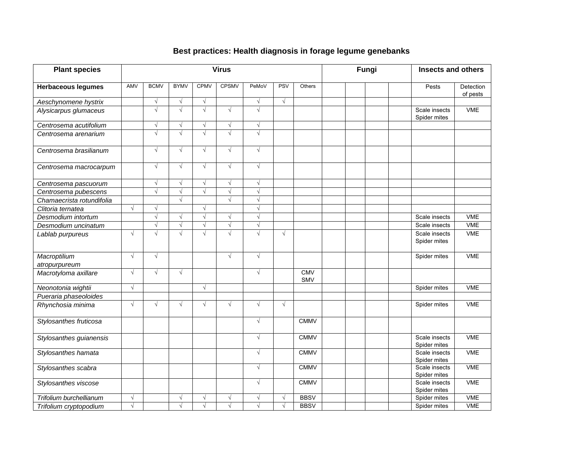## **Best practices: Health diagnosis in forage legume genebanks**

| <b>Plant species</b>          | <b>Virus</b> |                       |                       |                       |              |            |            | Fungi                    | <b>Insects and others</b> |                               |                       |
|-------------------------------|--------------|-----------------------|-----------------------|-----------------------|--------------|------------|------------|--------------------------|---------------------------|-------------------------------|-----------------------|
| <b>Herbaceous legumes</b>     | AMV          | <b>BCMV</b>           | <b>BYMV</b>           | <b>CPMV</b>           | <b>CPSMV</b> | PeMoV      | PSV        | Others                   |                           | Pests                         | Detection<br>of pests |
| Aeschynomene hystrix          |              | $\sqrt{}$             | $\sqrt{}$             | $\sqrt{}$             |              | $\sqrt{ }$ | $\sqrt{ }$ |                          |                           |                               |                       |
| Alysicarpus glumaceus         |              | $\sqrt{ }$            | $\sqrt{2}$            | $\sqrt{2}$            | $\sqrt{ }$   | $\sqrt{2}$ |            |                          |                           | Scale insects<br>Spider mites | <b>VME</b>            |
| Centrosema acutifolium        |              | $\sqrt{}$             | $\sqrt{}$             | $\sqrt{}$             | $\sqrt{}$    | $\sqrt{ }$ |            |                          |                           |                               |                       |
| Centrosema arenarium          |              | $\sqrt{}$             | $\sqrt{}$             | $\sqrt{}$             | $\sqrt{}$    | $\sqrt{ }$ |            |                          |                           |                               |                       |
| Centrosema brasilianum        |              | $\sqrt{ }$            | $\sqrt{ }$            | $\sqrt{}$             | $\sqrt{ }$   | $\sqrt{ }$ |            |                          |                           |                               |                       |
| Centrosema macrocarpum        |              | $\sqrt{}$             | $\sqrt{ }$            | $\sqrt{}$             | $\sqrt{}$    | $\sqrt{ }$ |            |                          |                           |                               |                       |
| Centrosema pascuorum          |              | $\sqrt{}$             | $\sqrt{ }$            | $\sqrt{}$             | $\sqrt{}$    | $\sqrt{ }$ |            |                          |                           |                               |                       |
| Centrosema pubescens          |              | $\sqrt{}$             | $\sqrt{}$             | $\sqrt{}$             | $\sqrt{ }$   | $\sqrt{}$  |            |                          |                           |                               |                       |
| Chamaecrista rotundifolia     |              |                       | $\sqrt{ }$            |                       | $\sqrt{ }$   | $\sqrt{}$  |            |                          |                           |                               |                       |
| Clitoria ternatea             | $\sqrt{ }$   | $\sqrt{ }$            |                       | $\sqrt{ }$            |              | $\sqrt{ }$ |            |                          |                           |                               |                       |
| Desmodium intortum            |              | $\sqrt{ }$            | $\sqrt{ }$            | $\sqrt{}$             | $\sqrt{}$    | $\sqrt{ }$ |            |                          |                           | Scale insects                 | <b>VME</b>            |
| Desmodium uncinatum           |              | $\overline{\sqrt{2}}$ | $\overline{\sqrt{2}}$ | $\sqrt{}$             | $\sqrt{}$    | $\sqrt{}$  |            |                          |                           | Scale insects                 | <b>VME</b>            |
| Lablab purpureus              | $\sqrt{ }$   | $\sqrt{ }$            | $\sqrt{ }$            | $\sqrt{}$             | $\sqrt{2}$   | $\sqrt{ }$ | $\sqrt{}$  |                          |                           | Scale insects<br>Spider mites | <b>VME</b>            |
| Macroptilium<br>atropurpureum | $\sqrt{ }$   | $\sqrt{ }$            |                       |                       | $\sqrt{ }$   | $\sqrt{ }$ |            |                          |                           | Spider mites                  | <b>VME</b>            |
| Macrotyloma axillare          | $\sqrt{ }$   | $\sqrt{ }$            | $\sqrt{ }$            |                       |              | $\sqrt{ }$ |            | <b>CMV</b><br><b>SMV</b> |                           |                               |                       |
| Neonotonia wightii            | $\sqrt{ }$   |                       |                       | $\sqrt{ }$            |              |            |            |                          |                           | Spider mites                  | <b>VME</b>            |
| Pueraria phaseoloides         |              |                       |                       |                       |              |            |            |                          |                           |                               |                       |
| Rhynchosia minima             | $\sqrt{ }$   | $\sqrt{ }$            | $\sqrt{ }$            | $\sqrt{ }$            | $\sqrt{ }$   | $\sqrt{ }$ | $\sqrt{ }$ |                          |                           | Spider mites                  | <b>VME</b>            |
| Stylosanthes fruticosa        |              |                       |                       |                       |              | $\sqrt{ }$ |            | <b>CMMV</b>              |                           |                               |                       |
| Stylosanthes guianensis       |              |                       |                       |                       |              | $\sqrt{ }$ |            | <b>CMMV</b>              |                           | Scale insects<br>Spider mites | <b>VME</b>            |
| Stylosanthes hamata           |              |                       |                       |                       |              | $\sqrt{ }$ |            | <b>CMMV</b>              |                           | Scale insects<br>Spider mites | <b>VME</b>            |
| Stylosanthes scabra           |              |                       |                       |                       |              | $\sqrt{ }$ |            | <b>CMMV</b>              |                           | Scale insects<br>Spider mites | <b>VME</b>            |
| Stylosanthes viscose          |              |                       |                       |                       |              | $\sqrt{ }$ |            | <b>CMMV</b>              |                           | Scale insects<br>Spider mites | <b>VME</b>            |
| Trifolium burchellianum       | $\sqrt{ }$   |                       | $\sqrt{ }$            | $\sqrt{}$             | $\sqrt{ }$   | $\sqrt{ }$ | $\sqrt{}$  | <b>BBSV</b>              |                           | Spider mites                  | VME                   |
| Trifolium cryptopodium        | $\sqrt{}$    |                       | $\sqrt{ }$            | $\overline{\sqrt{2}}$ | $\sqrt{}$    |            | V          | <b>BBSV</b>              |                           | Spider mites                  | <b>VME</b>            |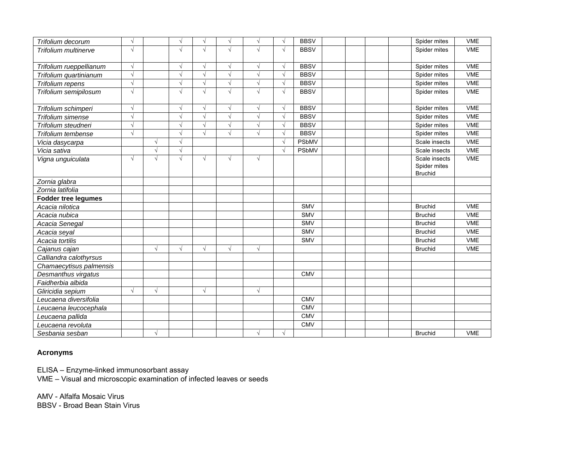| Trifolium decorum           | $\sqrt{ }$ |            | $\sqrt{ }$ | $\sqrt{ }$ | $\sqrt{ }$ | $\sqrt{ }$ | $\sqrt{}$  | <b>BBSV</b>  |  | Spider mites                  | <b>VME</b> |
|-----------------------------|------------|------------|------------|------------|------------|------------|------------|--------------|--|-------------------------------|------------|
| <b>Trifolium multinerve</b> | $\sqrt{ }$ |            | $\sqrt{ }$ | $\sqrt{ }$ | $\sqrt{ }$ | $\sqrt{ }$ | $\sqrt{ }$ | <b>BBSV</b>  |  | Spider mites                  | <b>VME</b> |
|                             |            |            |            |            |            |            |            |              |  |                               |            |
| Trifolium rueppellianum     | $\sqrt{ }$ |            | $\sqrt{ }$ | $\sqrt{ }$ | $\sqrt{}$  | $\sqrt{ }$ | $\sqrt{ }$ | <b>BBSV</b>  |  | Spider mites                  | <b>VME</b> |
| Trifolium quartinianum      | $\sqrt{ }$ |            | $\sqrt{}$  | $\sqrt{ }$ | $\sqrt{}$  | $\sqrt{ }$ | $\sqrt{ }$ | <b>BBSV</b>  |  | Spider mites                  | <b>VME</b> |
| Trifolium repens            | $\sqrt{ }$ |            | $\sqrt{ }$ | $\sqrt{ }$ | $\sqrt{ }$ | $\sqrt{ }$ |            | <b>BBSV</b>  |  | Spider mites                  | <b>VME</b> |
| Trifolium semipilosum       | $\sqrt{}$  |            | $\sqrt{ }$ | $\sqrt{ }$ | $\sqrt{}$  | $\sqrt{ }$ | $\sqrt{2}$ | <b>BBSV</b>  |  | Spider mites                  | <b>VME</b> |
| Trifolium schimperi         | $\sqrt{ }$ |            | $\sqrt{ }$ | $\sqrt{ }$ | $\sqrt{ }$ | $\sqrt{ }$ | $\sqrt{ }$ | <b>BBSV</b>  |  | Spider mites                  | <b>VME</b> |
| Trifolium simense           | $\sqrt{ }$ |            | $\sqrt{ }$ | $\sqrt{}$  | $\sqrt{ }$ | $\sqrt{ }$ | $\sqrt{ }$ | <b>BBSV</b>  |  | Spider mites                  | <b>VME</b> |
| Trifolium steudneri         | $\sqrt{ }$ |            | $\sqrt{ }$ | $\sqrt{ }$ | $\sqrt{ }$ | $\sqrt{ }$ | $\sqrt{ }$ | <b>BBSV</b>  |  | Spider mites                  | <b>VME</b> |
| Trifolium tembense          | $\sqrt{ }$ |            | $\sqrt{ }$ | $\sqrt{ }$ | $\sqrt{ }$ | $\sqrt{ }$ |            | <b>BBSV</b>  |  | Spider mites                  | <b>VME</b> |
| Vicia dasycarpa             |            | $\sqrt{ }$ | $\sqrt{2}$ |            |            |            |            | <b>PSbMV</b> |  | Scale insects                 | <b>VME</b> |
| Vicia sativa                |            | $\sqrt{ }$ | $\sqrt{ }$ |            |            |            | $\sqrt{ }$ | PSbMV        |  | Scale insects                 | <b>VME</b> |
| Vigna unguiculata           | $\sqrt{ }$ | $\sqrt{ }$ | $\sqrt{ }$ | $\sqrt{ }$ | $\sqrt{ }$ | $\sqrt{ }$ |            |              |  | Scale insects<br>Spider mites | <b>VME</b> |
|                             |            |            |            |            |            |            |            |              |  | Bruchid                       |            |
| Zornia glabra               |            |            |            |            |            |            |            |              |  |                               |            |
| Zornia latifolia            |            |            |            |            |            |            |            |              |  |                               |            |
| <b>Fodder tree legumes</b>  |            |            |            |            |            |            |            |              |  |                               |            |
| Acacia nilotica             |            |            |            |            |            |            |            | <b>SMV</b>   |  | <b>Bruchid</b>                | <b>VME</b> |
| Acacia nubica               |            |            |            |            |            |            |            | <b>SMV</b>   |  | <b>Bruchid</b>                | <b>VME</b> |
| Acacia Senegal              |            |            |            |            |            |            |            | <b>SMV</b>   |  | <b>Bruchid</b>                | <b>VME</b> |
| Acacia seyal                |            |            |            |            |            |            |            | <b>SMV</b>   |  | <b>Bruchid</b>                | <b>VME</b> |
| Acacia tortilis             |            |            |            |            |            |            |            | <b>SMV</b>   |  | <b>Bruchid</b>                | <b>VME</b> |
| Cajanus cajan               |            | $\sqrt{ }$ | $\sqrt{ }$ | $\sqrt{ }$ | $\sqrt{ }$ | $\sqrt{}$  |            |              |  | <b>Bruchid</b>                | <b>VME</b> |
| Calliandra calothyrsus      |            |            |            |            |            |            |            |              |  |                               |            |
| Chamaecytisus palmensis     |            |            |            |            |            |            |            |              |  |                               |            |
| Desmanthus virgatus         |            |            |            |            |            |            |            | <b>CMV</b>   |  |                               |            |
| Faidherbia albida           |            |            |            |            |            |            |            |              |  |                               |            |
| Gliricidia sepium           | $\sqrt{ }$ | $\sqrt{ }$ |            | $\sqrt{ }$ |            | $\sqrt{ }$ |            |              |  |                               |            |
| Leucaena diversifolia       |            |            |            |            |            |            |            | <b>CMV</b>   |  |                               |            |
| Leucaena leucocephala       |            |            |            |            |            |            |            | <b>CMV</b>   |  |                               |            |
| Leucaena pallida            |            |            |            |            |            |            |            | <b>CMV</b>   |  |                               |            |
| Leucaena revoluta           |            |            |            |            |            |            |            | <b>CMV</b>   |  |                               |            |
| Sesbania sesban             |            | $\sqrt{ }$ |            |            |            | $\sqrt{}$  | $\sqrt{ }$ |              |  | <b>Bruchid</b>                | <b>VME</b> |

## **Acronyms**

ELISA – Enzyme-linked immunosorbant assay

VME – Visual and microscopic examination of infected leaves or seeds

AMV - Alfalfa Mosaic Virus BBSV - Broad Bean Stain Virus